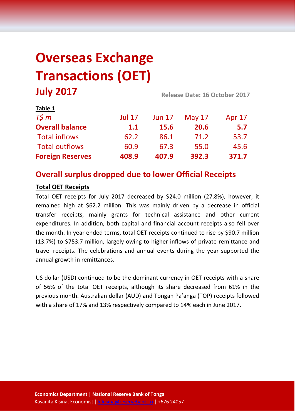# **Overseas Exchange Transactions (OET) July 2017 Release Date: 16 October <sup>2017</sup>**

| LANIC T                 |               |               |          |        |  |
|-------------------------|---------------|---------------|----------|--------|--|
| $T\zeta m$              | <b>Jul 17</b> | <b>Jun 17</b> | May $17$ | Apr 17 |  |
| <b>Overall balance</b>  | 1.1           | <b>15.6</b>   | 20.6     | 5.7    |  |
| <b>Total inflows</b>    | 62.2          | 86.1          | 71.2     | 53.7   |  |
| <b>Total outflows</b>   | 60.9          | 67.3          | 55.0     | 45.6   |  |
| <b>Foreign Reserves</b> | 408.9         | 407.9         | 392.3    | 371.7  |  |

# **Overall surplus dropped due to lower Official Receipts**

# **Total OET Receipts**

**Table 1**

Total OET receipts for July 2017 decreased by \$24.0 million (27.8%), however, it remained high at \$62.2 million. This was mainly driven by a decrease in official transfer receipts, mainly grants for technical assistance and other current expenditures. In addition, both capital and financial account receipts also fell over the month. In year ended terms, total OET receipts continued to rise by \$90.7 million (13.7%) to \$753.7 million, largely owing to higher inflows of private remittance and travel receipts. The celebrations and annual events during the year supported the annual growth in remittances.

US dollar (USD) continued to be the dominant currency in OET receipts with a share of 56% of the total OET receipts, although its share decreased from 61% in the previous month. Australian dollar (AUD) and Tongan Pa'anga (TOP) receipts followed with a share of 17% and 13% respectively compared to 14% each in June 2017.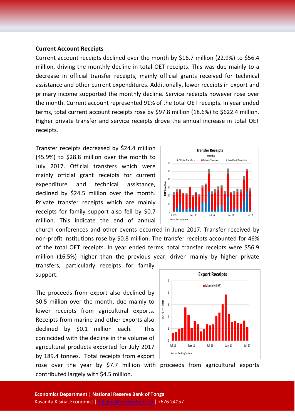#### **Current Account Receipts**

Current account receipts declined over the month by \$16.7 million (22.9%) to \$56.4 million, driving the monthly decline in total OET receipts. This was due mainly to a decrease in official transfer receipts, mainly official grants received for technical assistance and other current expenditures. Additionally, lower receipts in export and primary income supported the monthly decline. Service receipts however rose over the month. Current account represented 91% of the total OET receipts. In year ended terms, total current account receipts rose by \$97.8 million (18.6%) to \$622.4 million. Higher private transfer and service receipts drove the annual increase in total OET receipts.

Transfer receipts decreased by \$24.4 million (45.9%) to \$28.8 million over the month to July 2017. Official transfers which were mainly official grant receipts for current expenditure and technical assistance, declined by \$24.5 million over the month. Private transfer receipts which are mainly receipts for family support also fell by \$0.7 million. This indicate the end of annual

church conferences and other events occurred in June 2017. Transfer received by non-profit institutions rose by \$0.8 million. The transfer receipts accounted for 46% of the total OET receipts. In year ended terms, total transfer receipts were \$56.9 million (16.5%) higher than the previous year, driven mainly by higher private

transfers, particularly receipts for family support.

The proceeds from export also declined by \$0.5 million over the month, due mainly to lower receipts from agricultural exports. Receipts from marine and other exports also declined by \$0.1 million each. This conincided with the decline in the volume of agricultural products exported for July 2017 by 189.4 tonnes. Total receipts from export



rose over the year by \$7.7 million with proceeds from agricultural exports contributed largely with \$4.5 million.

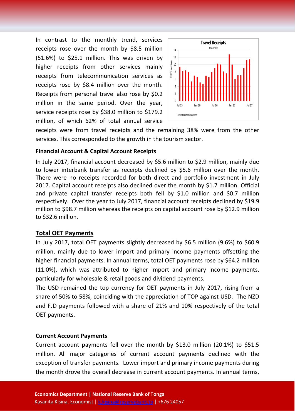In contrast to the monthly trend, services receipts rose over the month by \$8.5 million (51.6%) to \$25.1 million. This was driven by higher receipts from other services mainly receipts from telecommunication services as receipts rose by \$8.4 million over the month. Receipts from personal travel also rose by \$0.2 million in the same period. Over the year, service receipts rose by \$38.0 million to \$179.2 million, of which 62% of total annual service



receipts were from travel receipts and the remaining 38% were from the other services. This corresponded to the growth in the tourism sector.

#### **Financial Account & Capital Account Receipts**

In July 2017, financial account decreased by \$5.6 million to \$2.9 million, mainly due to lower interbank transfer as receipts declined by \$5.6 million over the month. There were no receipts recorded for both direct and portfolio investment in July 2017. Capital account receipts also declined over the month by \$1.7 million. Official and private capital transfer receipts both fell by \$1.0 million and \$0.7 million respectively. Over the year to July 2017, financial account receipts declined by \$19.9 million to \$98.7 million whereas the receipts on capital account rose by \$12.9 million to \$32.6 million.

#### **Total OET Payments**

In July 2017, total OET payments slightly decreased by \$6.5 million (9.6%) to \$60.9 million, mainly due to lower import and primary income payments offsetting the higher financial payments. In annual terms, total OET payments rose by \$64.2 million (11.0%), which was attributed to higher import and primary income payments, particularly for wholesale & retail goods and dividend payments.

The USD remained the top currency for OET payments in July 2017, rising from a share of 50% to 58%, coinciding with the appreciation of TOP against USD. The NZD and FJD payments followed with a share of 21% and 10% respectively of the total OET payments.

#### **Current Account Payments**

Current account payments fell over the month by \$13.0 million (20.1%) to \$51.5 million. All major categories of current account payments declined with the exception of transfer payments. Lower import and primary income payments during the month drove the overall decrease in current account payments. In annual terms,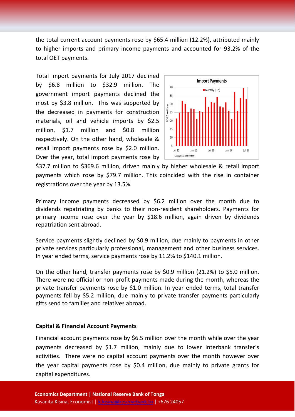the total current account payments rose by \$65.4 million (12.2%), attributed mainly to higher imports and primary income payments and accounted for 93.2% of the total OET payments.

Total import payments for July 2017 declined by \$6.8 million to \$32.9 million. The government import payments declined the most by \$3.8 million. This was supported by the decreased in payments for construction materials, oil and vehicle imports by \$2.5 million, \$1.7 million and \$0.8 million respectively. On the other hand, wholesale & retail import payments rose by \$2.0 million. Over the year, total import payments rose by



\$37.7 million to \$369.6 million, driven mainly by higher wholesale & retail import payments which rose by \$79.7 million. This coincided with the rise in container registrations over the year by 13.5%.

Primary income payments decreased by \$6.2 million over the month due to dividends repatriating by banks to their non-resident shareholders. Payments for primary income rose over the year by \$18.6 million, again driven by dividends repatriation sent abroad.

Service payments slightly declined by \$0.9 million, due mainly to payments in other private services particularly professional, management and other business services. In year ended terms, service payments rose by 11.2% to \$140.1 million.

On the other hand, transfer payments rose by \$0.9 million (21.2%) to \$5.0 million. There were no official or non-profit payments made during the month, whereas the private transfer payments rose by \$1.0 million. In year ended terms, total transfer payments fell by \$5.2 million, due mainly to private transfer payments particularly gifts send to families and relatives abroad.

## **Capital & Financial Account Payments**

Financial account payments rose by \$6.5 million over the month while over the year payments decreased by \$1.7 million, mainly due to lower interbank transfer's activities. There were no capital account payments over the month however over the year capital payments rose by \$0.4 million, due mainly to private grants for capital expenditures.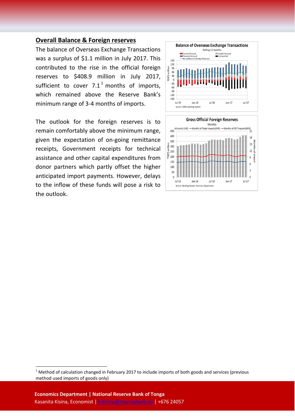### **Overall Balance & Foreign reserves**

The balance of Overseas Exchange Transactions was a surplus of \$1.1 million in July 2017. This contributed to the rise in the official foreign reserves to \$408.9 million in July 2017, sufficient to cover  $7.1<sup>1</sup>$  $7.1<sup>1</sup>$  $7.1<sup>1</sup>$  months of imports, which remained above the Reserve Bank's minimum range of 3-4 months of imports.

The outlook for the foreign reserves is to remain comfortably above the minimum range, given the expectation of on-going remittance receipts, Government receipts for technical assistance and other capital expenditures from donor partners which partly offset the higher anticipated import payments. However, delays to the inflow of these funds will pose a risk to the outlook.





<span id="page-4-0"></span> $1$  Method of calculation changed in February 2017 to include imports of both goods and services (previous method used imports of goods only)